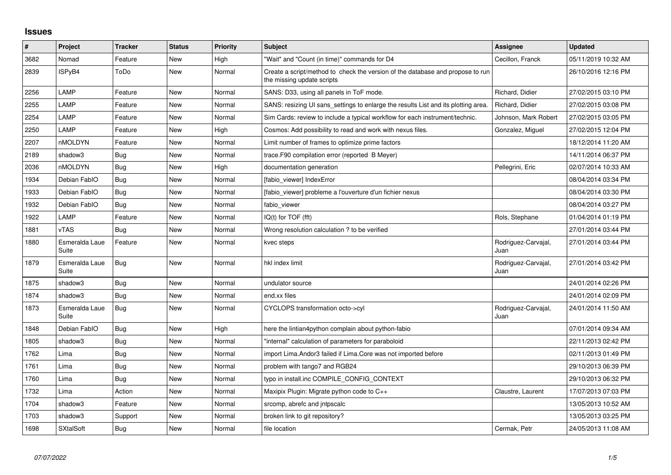## **Issues**

| #    | Project                 | <b>Tracker</b> | <b>Status</b> | <b>Priority</b> | <b>Subject</b>                                                                                               | <b>Assignee</b>             | <b>Updated</b>      |
|------|-------------------------|----------------|---------------|-----------------|--------------------------------------------------------------------------------------------------------------|-----------------------------|---------------------|
| 3682 | Nomad                   | Feature        | New           | High            | 'Wait" and "Count (in time)" commands for D4                                                                 | Cecillon, Franck            | 05/11/2019 10:32 AM |
| 2839 | ISPyB4                  | ToDo           | <b>New</b>    | Normal          | Create a script/method to check the version of the database and propose to run<br>the missing update scripts |                             | 26/10/2016 12:16 PM |
| 2256 | LAMP                    | Feature        | <b>New</b>    | Normal          | SANS: D33, using all panels in ToF mode.                                                                     | Richard, Didier             | 27/02/2015 03:10 PM |
| 2255 | LAMP                    | Feature        | New           | Normal          | SANS: resizing UI sans settings to enlarge the results List and its plotting area.                           | Richard, Didier             | 27/02/2015 03:08 PM |
| 2254 | LAMP                    | Feature        | <b>New</b>    | Normal          | Sim Cards: review to include a typical workflow for each instrument/technic.                                 | Johnson, Mark Robert        | 27/02/2015 03:05 PM |
| 2250 | LAMP                    | Feature        | New           | High            | Cosmos: Add possibility to read and work with nexus files.                                                   | Gonzalez, Miguel            | 27/02/2015 12:04 PM |
| 2207 | nMOLDYN                 | Feature        | <b>New</b>    | Normal          | Limit number of frames to optimize prime factors                                                             |                             | 18/12/2014 11:20 AM |
| 2189 | shadow3                 | <b>Bug</b>     | <b>New</b>    | Normal          | trace.F90 compilation error (reported B Meyer)                                                               |                             | 14/11/2014 06:37 PM |
| 2036 | nMOLDYN                 | <b>Bug</b>     | New           | High            | documentation generation                                                                                     | Pellegrini, Eric            | 02/07/2014 10:33 AM |
| 1934 | Debian FablO            | <b>Bug</b>     | New           | Normal          | [fabio viewer] IndexError                                                                                    |                             | 08/04/2014 03:34 PM |
| 1933 | Debian FablO            | <b>Bug</b>     | <b>New</b>    | Normal          | [fabio viewer] probleme a l'ouverture d'un fichier nexus                                                     |                             | 08/04/2014 03:30 PM |
| 1932 | Debian FablO            | Bug            | <b>New</b>    | Normal          | fabio viewer                                                                                                 |                             | 08/04/2014 03:27 PM |
| 1922 | LAMP                    | Feature        | <b>New</b>    | Normal          | $IQ(t)$ for $TOF$ (fft)                                                                                      | Rols, Stephane              | 01/04/2014 01:19 PM |
| 1881 | <b>vTAS</b>             | <b>Bug</b>     | New           | Normal          | Wrong resolution calculation? to be verified                                                                 |                             | 27/01/2014 03:44 PM |
| 1880 | Esmeralda Laue<br>Suite | Feature        | <b>New</b>    | Normal          | kvec steps                                                                                                   | Rodriguez-Carvajal,<br>Juan | 27/01/2014 03:44 PM |
| 1879 | Esmeralda Laue<br>Suite | Bug            | <b>New</b>    | Normal          | hkl index limit                                                                                              | Rodriguez-Carvajal,<br>Juan | 27/01/2014 03:42 PM |
| 1875 | shadow3                 | <b>Bug</b>     | <b>New</b>    | Normal          | undulator source                                                                                             |                             | 24/01/2014 02:26 PM |
| 1874 | shadow3                 | <b>Bug</b>     | <b>New</b>    | Normal          | end.xx files                                                                                                 |                             | 24/01/2014 02:09 PM |
| 1873 | Esmeralda Laue<br>Suite | Bug            | New           | Normal          | CYCLOPS transformation octo->cyl                                                                             | Rodriguez-Carvajal,<br>Juan | 24/01/2014 11:50 AM |
| 1848 | Debian FablO            | <b>Bug</b>     | <b>New</b>    | High            | here the lintian4python complain about python-fabio                                                          |                             | 07/01/2014 09:34 AM |
| 1805 | shadow3                 | <b>Bug</b>     | New           | Normal          | "internal" calculation of parameters for paraboloid                                                          |                             | 22/11/2013 02:42 PM |
| 1762 | Lima                    | <b>Bug</b>     | <b>New</b>    | Normal          | import Lima.Andor3 failed if Lima.Core was not imported before                                               |                             | 02/11/2013 01:49 PM |
| 1761 | Lima                    | <b>Bug</b>     | New           | Normal          | problem with tango7 and RGB24                                                                                |                             | 29/10/2013 06:39 PM |
| 1760 | Lima                    | <b>Bug</b>     | New           | Normal          | typo in install.inc COMPILE CONFIG CONTEXT                                                                   |                             | 29/10/2013 06:32 PM |
| 1732 | Lima                    | Action         | New           | Normal          | Maxipix Plugin: Migrate python code to C++                                                                   | Claustre, Laurent           | 17/07/2013 07:03 PM |
| 1704 | shadow3                 | Feature        | <b>New</b>    | Normal          | srcomp, abrefc and intpscalc                                                                                 |                             | 13/05/2013 10:52 AM |
| 1703 | shadow3                 | Support        | New           | Normal          | broken link to git repository?                                                                               |                             | 13/05/2013 03:25 PM |
| 1698 | <b>SXtalSoft</b>        | <b>Bug</b>     | New           | Normal          | file location                                                                                                | Cermak, Petr                | 24/05/2013 11:08 AM |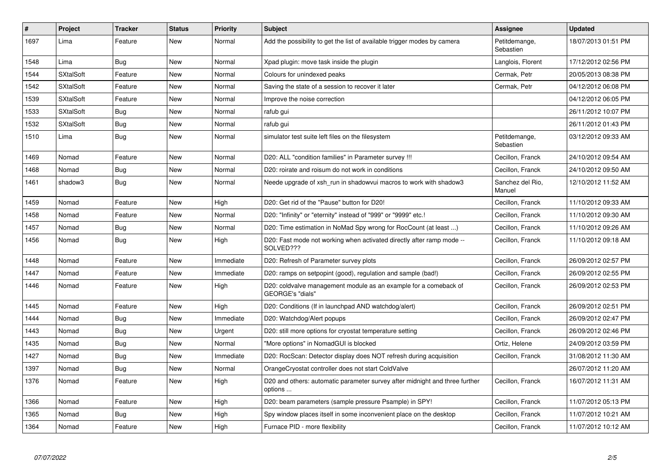| #    | Project          | <b>Tracker</b> | <b>Status</b> | Priority  | <b>Subject</b>                                                                         | Assignee                   | <b>Updated</b>      |
|------|------------------|----------------|---------------|-----------|----------------------------------------------------------------------------------------|----------------------------|---------------------|
| 1697 | Lima             | Feature        | <b>New</b>    | Normal    | Add the possibility to get the list of available trigger modes by camera               | Petitdemange,<br>Sebastien | 18/07/2013 01:51 PM |
| 1548 | Lima             | <b>Bug</b>     | <b>New</b>    | Normal    | Xpad plugin: move task inside the plugin                                               | Langlois, Florent          | 17/12/2012 02:56 PM |
| 1544 | <b>SXtalSoft</b> | Feature        | New           | Normal    | Colours for unindexed peaks                                                            | Cermak, Petr               | 20/05/2013 08:38 PM |
| 1542 | <b>SXtalSoft</b> | Feature        | <b>New</b>    | Normal    | Saving the state of a session to recover it later                                      | Cermak. Petr               | 04/12/2012 06:08 PM |
| 1539 | <b>SXtalSoft</b> | Feature        | <b>New</b>    | Normal    | Improve the noise correction                                                           |                            | 04/12/2012 06:05 PM |
| 1533 | <b>SXtalSoft</b> | <b>Bug</b>     | <b>New</b>    | Normal    | rafub gui                                                                              |                            | 26/11/2012 10:07 PM |
| 1532 | <b>SXtalSoft</b> | <b>Bug</b>     | New           | Normal    | rafub gui                                                                              |                            | 26/11/2012 01:43 PM |
| 1510 | Lima             | <b>Bug</b>     | <b>New</b>    | Normal    | simulator test suite left files on the filesystem                                      | Petitdemange,<br>Sebastien | 03/12/2012 09:33 AM |
| 1469 | Nomad            | Feature        | <b>New</b>    | Normal    | D20: ALL "condition families" in Parameter survey !!!                                  | Cecillon, Franck           | 24/10/2012 09:54 AM |
| 1468 | Nomad            | <b>Bug</b>     | New           | Normal    | D20: roirate and roisum do not work in conditions                                      | Cecillon, Franck           | 24/10/2012 09:50 AM |
| 1461 | shadow3          | Bug            | <b>New</b>    | Normal    | Neede upgrade of xsh run in shadowyui macros to work with shadow3                      | Sanchez del Rio.<br>Manuel | 12/10/2012 11:52 AM |
| 1459 | Nomad            | Feature        | <b>New</b>    | High      | D20: Get rid of the "Pause" button for D20!                                            | Cecillon, Franck           | 11/10/2012 09:33 AM |
| 1458 | Nomad            | Feature        | New           | Normal    | D20: "Infinity" or "eternity" instead of "999" or "9999" etc.!                         | Cecillon, Franck           | 11/10/2012 09:30 AM |
| 1457 | Nomad            | <b>Bug</b>     | <b>New</b>    | Normal    | D20: Time estimation in NoMad Spy wrong for RocCount (at least )                       | Cecillon, Franck           | 11/10/2012 09:26 AM |
| 1456 | Nomad            | <b>Bug</b>     | <b>New</b>    | High      | D20: Fast mode not working when activated directly after ramp mode --<br>SOLVED???     | Cecillon, Franck           | 11/10/2012 09:18 AM |
| 1448 | Nomad            | Feature        | New           | Immediate | D20: Refresh of Parameter survey plots                                                 | Cecillon, Franck           | 26/09/2012 02:57 PM |
| 1447 | Nomad            | Feature        | <b>New</b>    | Immediate | D20: ramps on setpopint (good), regulation and sample (bad!)                           | Cecillon, Franck           | 26/09/2012 02:55 PM |
| 1446 | Nomad            | Feature        | <b>New</b>    | High      | D20: coldvalve management module as an example for a comeback of<br>GEORGE's "dials"   | Cecillon, Franck           | 26/09/2012 02:53 PM |
| 1445 | Nomad            | Feature        | <b>New</b>    | High      | D20: Conditions (If in launchpad AND watchdog/alert)                                   | Cecillon, Franck           | 26/09/2012 02:51 PM |
| 1444 | Nomad            | <b>Bug</b>     | New           | Immediate | D20: Watchdog/Alert popups                                                             | Cecillon, Franck           | 26/09/2012 02:47 PM |
| 1443 | Nomad            | <b>Bug</b>     | <b>New</b>    | Urgent    | D20: still more options for cryostat temperature setting                               | Cecillon, Franck           | 26/09/2012 02:46 PM |
| 1435 | Nomad            | <b>Bug</b>     | New           | Normal    | 'More options" in NomadGUI is blocked                                                  | Ortiz, Helene              | 24/09/2012 03:59 PM |
| 1427 | Nomad            | <b>Bug</b>     | New           | Immediate | D20: RocScan: Detector display does NOT refresh during acquisition                     | Cecillon, Franck           | 31/08/2012 11:30 AM |
| 1397 | Nomad            | Bug            | New           | Normal    | OrangeCryostat controller does not start ColdValve                                     |                            | 26/07/2012 11:20 AM |
| 1376 | Nomad            | Feature        | New           | High      | D20 and others: automatic parameter survey after midnight and three further<br>options | Cecillon, Franck           | 16/07/2012 11:31 AM |
| 1366 | Nomad            | Feature        | <b>New</b>    | High      | D20: beam parameters (sample pressure Psample) in SPY!                                 | Cecillon, Franck           | 11/07/2012 05:13 PM |
| 1365 | Nomad            | Bug            | New           | High      | Spy window places itself in some inconvenient place on the desktop                     | Cecillon, Franck           | 11/07/2012 10:21 AM |
| 1364 | Nomad            | Feature        | <b>New</b>    | High      | Furnace PID - more flexibility                                                         | Cecillon, Franck           | 11/07/2012 10:12 AM |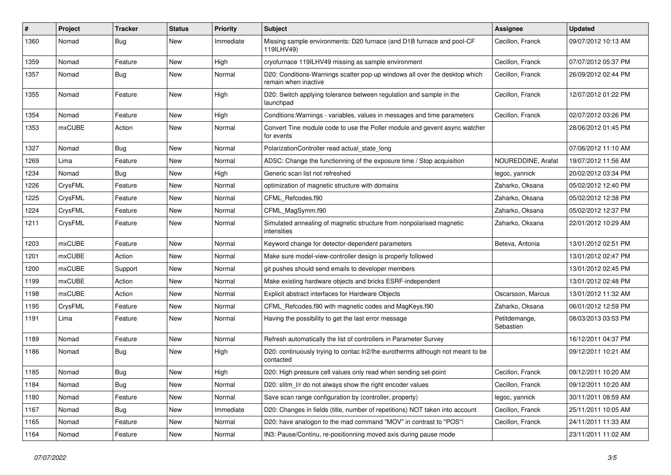| #    | Project       | <b>Tracker</b> | <b>Status</b> | <b>Priority</b> | <b>Subject</b>                                                                                     | <b>Assignee</b>            | <b>Updated</b>      |
|------|---------------|----------------|---------------|-----------------|----------------------------------------------------------------------------------------------------|----------------------------|---------------------|
| 1360 | Nomad         | <b>Bug</b>     | New           | Immediate       | Missing sample environments: D20 furnace (and D1B furnace and pool-CF<br>119ILHV49)                | Cecillon, Franck           | 09/07/2012 10:13 AM |
| 1359 | Nomad         | Feature        | New           | High            | cryofurnace 119ILHV49 missing as sample environment                                                | Cecillon, Franck           | 07/07/2012 05:37 PM |
| 1357 | Nomad         | <b>Bug</b>     | New           | Normal          | D20: Conditions-Warnings scatter pop-up windows all over the desktop which<br>remain when inactive | Cecillon, Franck           | 26/09/2012 02:44 PM |
| 1355 | Nomad         | Feature        | New           | High            | D20: Switch applying tolerance between regulation and sample in the<br>launchpad                   | Cecillon, Franck           | 12/07/2012 01:22 PM |
| 1354 | Nomad         | Feature        | New           | High            | Conditions: Warnings - variables, values in messages and time parameters                           | Cecillon, Franck           | 02/07/2012 03:26 PM |
| 1353 | <b>mxCUBE</b> | Action         | New           | Normal          | Convert Tine module code to use the Poller module and gevent async watcher<br>for events           |                            | 28/06/2012 01:45 PM |
| 1327 | Nomad         | Bug            | New           | Normal          | PolarizationController read actual state long                                                      |                            | 07/06/2012 11:10 AM |
| 1269 | Lima          | Feature        | New           | Normal          | ADSC: Change the functionning of the exposure time / Stop acquisition                              | NOUREDDINE, Arafat         | 19/07/2012 11:56 AM |
| 1234 | Nomad         | <b>Bug</b>     | New           | High            | Generic scan list not refreshed                                                                    | legoc, yannick             | 20/02/2012 03:34 PM |
| 1226 | CrysFML       | Feature        | New           | Normal          | optimization of magnetic structure with domains                                                    | Zaharko, Oksana            | 05/02/2012 12:40 PM |
| 1225 | CrysFML       | Feature        | New           | Normal          | CFML Refcodes.f90                                                                                  | Zaharko, Oksana            | 05/02/2012 12:38 PM |
| 1224 | CrysFML       | Feature        | New           | Normal          | CFML_MagSymm.f90                                                                                   | Zaharko, Oksana            | 05/02/2012 12:37 PM |
| 1211 | CrysFML       | Feature        | New           | Normal          | Simulated annealing of magnetic structure from nonpolarised magnetic<br>intensities                | Zaharko, Oksana            | 22/01/2012 10:29 AM |
| 1203 | mxCUBE        | Feature        | New           | Normal          | Keyword change for detector-dependent parameters                                                   | Beteva, Antonia            | 13/01/2012 02:51 PM |
| 1201 | mxCUBE        | Action         | New           | Normal          | Make sure model-view-controller design is properly followed                                        |                            | 13/01/2012 02:47 PM |
| 1200 | mxCUBE        | Support        | New           | Normal          | git pushes should send emails to developer members                                                 |                            | 13/01/2012 02:45 PM |
| 1199 | mxCUBE        | Action         | New           | Normal          | Make existing hardware objects and bricks ESRF-independent                                         |                            | 13/01/2012 02:48 PM |
| 1198 | mxCUBE        | Action         | New           | Normal          | Explicit abstract interfaces for Hardware Objects                                                  | Oscarsson, Marcus          | 13/01/2012 11:32 AM |
| 1195 | CrysFML       | Feature        | New           | Normal          | CFML Refcodes.f90 with magnetic codes and MagKeys.f90                                              | Zaharko, Oksana            | 06/01/2012 12:59 PM |
| 1191 | Lima          | Feature        | New           | Normal          | Having the possibility to get the last error message                                               | Petitdemange,<br>Sebastien | 08/03/2013 03:53 PM |
| 1189 | Nomad         | Feature        | New           | Normal          | Refresh automatically the list of controllers in Parameter Survey                                  |                            | 16/12/2011 04:37 PM |
| 1186 | Nomad         | <b>Bug</b>     | New           | High            | D20: continuously trying to contac ln2/lhe eurotherms although not meant to be<br>contacted        |                            | 09/12/2011 10:21 AM |
| 1185 | Nomad         | Bug            | New           | High            | D20: High pressure cell values only read when sending set-point                                    | Cecillon, Franck           | 09/12/2011 10:20 AM |
| 1184 | Nomad         | <b>Bug</b>     | New           | Normal          | D20: slitm_l/r do not always show the right encoder values                                         | Cecillon, Franck           | 09/12/2011 10:20 AM |
| 1180 | Nomad         | Feature        | New           | Normal          | Save scan range configuration by (controller, property)                                            | legoc, yannick             | 30/11/2011 08:59 AM |
| 1167 | Nomad         | <b>Bug</b>     | New           | Immediate       | D20: Changes in fields (title, number of repetitions) NOT taken into account                       | Cecillon, Franck           | 25/11/2011 10:05 AM |
| 1165 | Nomad         | Feature        | New           | Normal          | D20: have analogon to the mad command "MOV" in contrast to "POS"!                                  | Cecillon, Franck           | 24/11/2011 11:33 AM |
| 1164 | Nomad         | Feature        | New           | Normal          | IN3: Pause/Continu, re-positionning moved axis during pause mode                                   |                            | 23/11/2011 11:02 AM |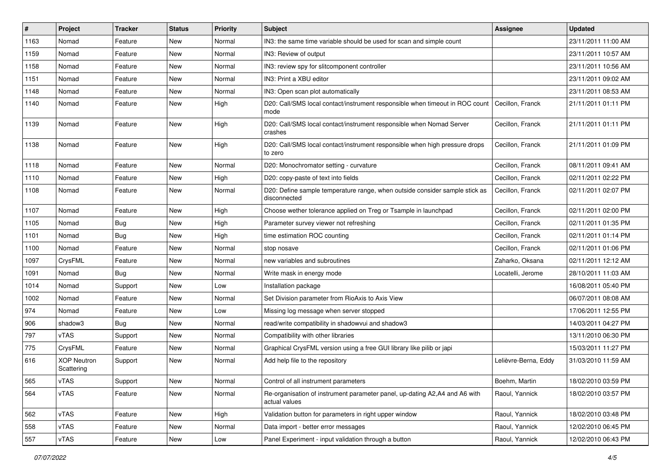| #    | Project                          | <b>Tracker</b> | <b>Status</b> | <b>Priority</b> | <b>Subject</b>                                                                              | <b>Assignee</b>      | <b>Updated</b>      |
|------|----------------------------------|----------------|---------------|-----------------|---------------------------------------------------------------------------------------------|----------------------|---------------------|
| 1163 | Nomad                            | Feature        | New           | Normal          | IN3: the same time variable should be used for scan and simple count                        |                      | 23/11/2011 11:00 AM |
| 1159 | Nomad                            | Feature        | <b>New</b>    | Normal          | IN3: Review of output                                                                       |                      | 23/11/2011 10:57 AM |
| 1158 | Nomad                            | Feature        | New           | Normal          | IN3: review spy for slitcomponent controller                                                |                      | 23/11/2011 10:56 AM |
| 1151 | Nomad                            | Feature        | New           | Normal          | IN3: Print a XBU editor                                                                     |                      | 23/11/2011 09:02 AM |
| 1148 | Nomad                            | Feature        | New           | Normal          | IN3: Open scan plot automatically                                                           |                      | 23/11/2011 08:53 AM |
| 1140 | Nomad                            | Feature        | New           | High            | D20: Call/SMS local contact/instrument responsible when timeout in ROC count<br>mode        | Cecillon, Franck     | 21/11/2011 01:11 PM |
| 1139 | Nomad                            | Feature        | New           | High            | D20: Call/SMS local contact/instrument responsible when Nomad Server<br>crashes             | Cecillon, Franck     | 21/11/2011 01:11 PM |
| 1138 | Nomad                            | Feature        | New           | High            | D20: Call/SMS local contact/instrument responsible when high pressure drops<br>to zero      | Cecillon, Franck     | 21/11/2011 01:09 PM |
| 1118 | Nomad                            | Feature        | New           | Normal          | D20: Monochromator setting - curvature                                                      | Cecillon, Franck     | 08/11/2011 09:41 AM |
| 1110 | Nomad                            | Feature        | New           | High            | D20: copy-paste of text into fields                                                         | Cecillon, Franck     | 02/11/2011 02:22 PM |
| 1108 | Nomad                            | Feature        | New           | Normal          | D20: Define sample temperature range, when outside consider sample stick as<br>disconnected | Cecillon, Franck     | 02/11/2011 02:07 PM |
| 1107 | Nomad                            | Feature        | New           | High            | Choose wether tolerance applied on Treg or Tsample in launchpad                             | Cecillon, Franck     | 02/11/2011 02:00 PM |
| 1105 | Nomad                            | <b>Bug</b>     | New           | High            | Parameter survey viewer not refreshing                                                      | Cecillon, Franck     | 02/11/2011 01:35 PM |
| 1101 | Nomad                            | Bug            | New           | High            | time estimation ROC counting                                                                | Cecillon, Franck     | 02/11/2011 01:14 PM |
| 1100 | Nomad                            | Feature        | New           | Normal          | stop nosave                                                                                 | Cecillon, Franck     | 02/11/2011 01:06 PM |
| 1097 | CrysFML                          | Feature        | New           | Normal          | new variables and subroutines                                                               | Zaharko, Oksana      | 02/11/2011 12:12 AM |
| 1091 | Nomad                            | <b>Bug</b>     | New           | Normal          | Write mask in energy mode                                                                   | Locatelli, Jerome    | 28/10/2011 11:03 AM |
| 1014 | Nomad                            | Support        | New           | Low             | Installation package                                                                        |                      | 16/08/2011 05:40 PM |
| 1002 | Nomad                            | Feature        | New           | Normal          | Set Division parameter from RioAxis to Axis View                                            |                      | 06/07/2011 08:08 AM |
| 974  | Nomad                            | Feature        | New           | Low             | Missing log message when server stopped                                                     |                      | 17/06/2011 12:55 PM |
| 906  | shadow3                          | <b>Bug</b>     | New           | Normal          | read/write compatibility in shadowvui and shadow3                                           |                      | 14/03/2011 04:27 PM |
| 797  | vTAS                             | Support        | New           | Normal          | Compatibility with other libraries                                                          |                      | 13/11/2010 06:30 PM |
| 775  | CrysFML                          | Feature        | New           | Normal          | Graphical CrysFML version using a free GUI library like pilib or japi                       |                      | 15/03/2011 11:27 PM |
| 616  | <b>XOP Neutron</b><br>Scattering | Support        | New           | Normal          | Add help file to the repository                                                             | Lelièvre-Berna, Eddy | 31/03/2010 11:59 AM |
| 565  | vTAS                             | Support        | New           | Normal          | Control of all instrument parameters                                                        | Boehm, Martin        | 18/02/2010 03:59 PM |
| 564  | vTAS                             | Feature        | New           | Normal          | Re-organisation of instrument parameter panel, up-dating A2,A4 and A6 with<br>actual values | Raoul, Yannick       | 18/02/2010 03:57 PM |
| 562  | vTAS                             | Feature        | <b>New</b>    | High            | Validation button for parameters in right upper window                                      | Raoul, Yannick       | 18/02/2010 03:48 PM |
| 558  | vTAS                             | Feature        | New           | Normal          | Data import - better error messages                                                         | Raoul, Yannick       | 12/02/2010 06:45 PM |
| 557  | vTAS                             | Feature        | New           | Low             | Panel Experiment - input validation through a button                                        | Raoul, Yannick       | 12/02/2010 06:43 PM |